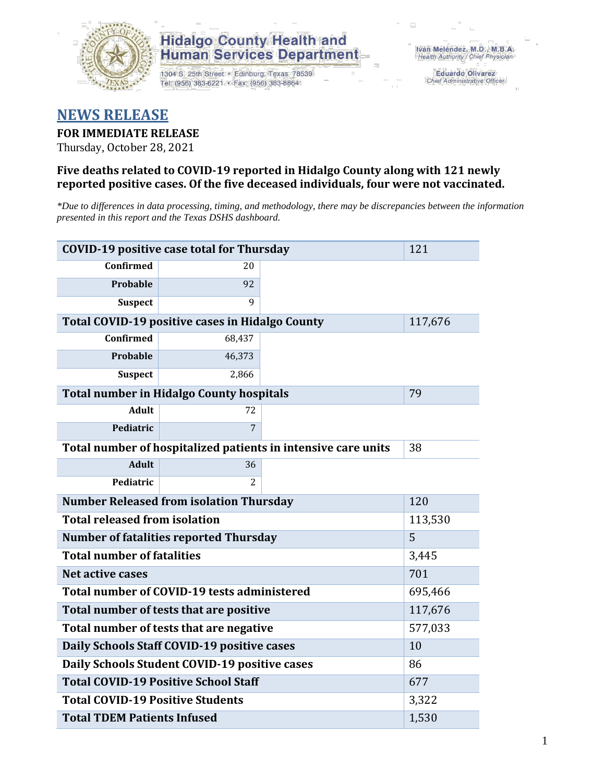

## **Hidalgo County Health and Human Services Department**

1304 S. 25th Street · Edinburg, Texas 78539 Tel: (956) 383-6221 · Fax: (956) 383-8864

**Eduardo Olivarez** Chief Administrative Officer

## **NEWS RELEASE**

#### **FOR IMMEDIATE RELEASE**

Thursday, October 28, 2021

#### **Five deaths related to COVID-19 reported in Hidalgo County along with 121 newly reported positive cases. Of the five deceased individuals, four were not vaccinated.**

*\*Due to differences in data processing, timing, and methodology, there may be discrepancies between the information presented in this report and the Texas DSHS dashboard.*

| <b>COVID-19 positive case total for Thursday</b>              | 121            |  |  |
|---------------------------------------------------------------|----------------|--|--|
| <b>Confirmed</b>                                              | 20             |  |  |
| <b>Probable</b>                                               | 92             |  |  |
| <b>Suspect</b>                                                | 9              |  |  |
| Total COVID-19 positive cases in Hidalgo County               | 117,676        |  |  |
| <b>Confirmed</b>                                              | 68,437         |  |  |
| <b>Probable</b>                                               | 46,373         |  |  |
| <b>Suspect</b>                                                | 2,866          |  |  |
| <b>Total number in Hidalgo County hospitals</b>               | 79             |  |  |
| <b>Adult</b>                                                  | 72             |  |  |
| Pediatric                                                     | 7              |  |  |
| Total number of hospitalized patients in intensive care units | 38             |  |  |
| <b>Adult</b>                                                  | 36             |  |  |
| Pediatric                                                     | $\overline{c}$ |  |  |
| <b>Number Released from isolation Thursday</b>                | 120            |  |  |
| <b>Total released from isolation</b>                          | 113,530        |  |  |
| <b>Number of fatalities reported Thursday</b>                 | 5              |  |  |
| <b>Total number of fatalities</b>                             | 3,445          |  |  |
| Net active cases                                              | 701            |  |  |
| Total number of COVID-19 tests administered                   | 695,466        |  |  |
| Total number of tests that are positive                       | 117,676        |  |  |
| Total number of tests that are negative                       | 577,033        |  |  |
| Daily Schools Staff COVID-19 positive cases                   | 10             |  |  |
| Daily Schools Student COVID-19 positive cases                 | 86             |  |  |
| <b>Total COVID-19 Positive School Staff</b>                   | 677            |  |  |
| <b>Total COVID-19 Positive Students</b>                       | 3,322          |  |  |
| <b>Total TDEM Patients Infused</b>                            | 1,530          |  |  |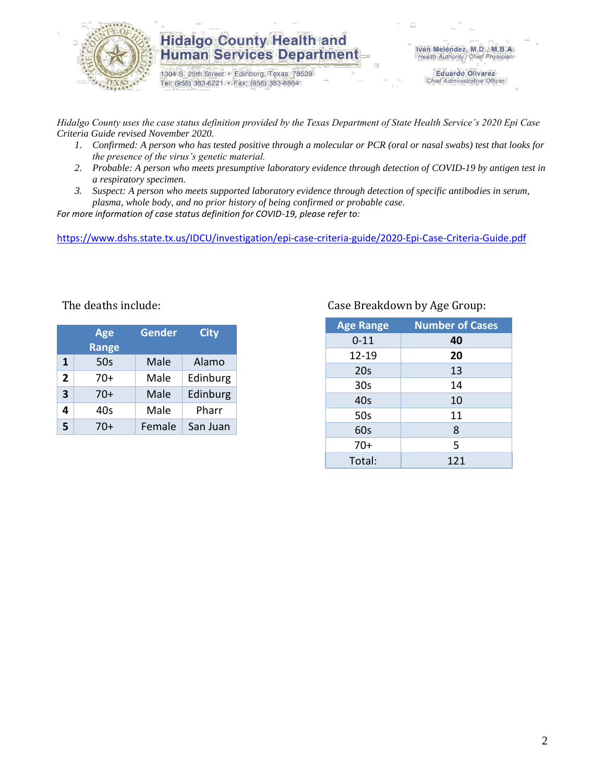

### **Hidalgo County Health and Human Services Department**

1304 S. 25th Street · Edinburg, Texas 78539 Tel: (956) 383-6221 · Fax: (956) 383-8864

Iván Meléndez, M.D., M.B.A. Health Authority / Chief Physician

> **Eduardo Olivarez** Chief Administrative Officer

*Hidalgo County uses the case status definition provided by the Texas Department of State Health Service's 2020 Epi Case Criteria Guide revised November 2020.*

- *1. Confirmed: A person who has tested positive through a molecular or PCR (oral or nasal swabs) test that looks for the presence of the virus's genetic material.*
- *2. Probable: A person who meets presumptive laboratory evidence through detection of COVID-19 by antigen test in a respiratory specimen.*
- *3. Suspect: A person who meets supported laboratory evidence through detection of specific antibodies in serum, plasma, whole body, and no prior history of being confirmed or probable case.*

*For more information of case status definition for COVID-19, please refer to:*

<https://www.dshs.state.tx.us/IDCU/investigation/epi-case-criteria-guide/2020-Epi-Case-Criteria-Guide.pdf>

|                         | <b>Age</b><br><b>Range</b> | <b>Gender</b> | <b>City</b> |  |  |
|-------------------------|----------------------------|---------------|-------------|--|--|
| $\mathbf{1}$            | 50s                        | Male          | Alamo       |  |  |
| $\overline{2}$          | $70+$                      | Male          | Edinburg    |  |  |
| $\overline{\mathbf{3}}$ | $70+$                      | Male          | Edinburg    |  |  |
| 4                       | 40s                        | Male          | Pharr       |  |  |
| 5                       | $70+$                      | Female        | San Juan    |  |  |

#### Case Breakdown by Age Group:

| <b>Age Range</b> | <b>Number of Cases</b> |
|------------------|------------------------|
| $0 - 11$         | 40                     |
| 12-19            | 20                     |
| 20s              | 13                     |
| 30 <sub>s</sub>  | 14                     |
| 40s              | 10                     |
| 50s              | 11                     |
| 60s              | 8                      |
| $70+$            | 5                      |
| Total:           | 121                    |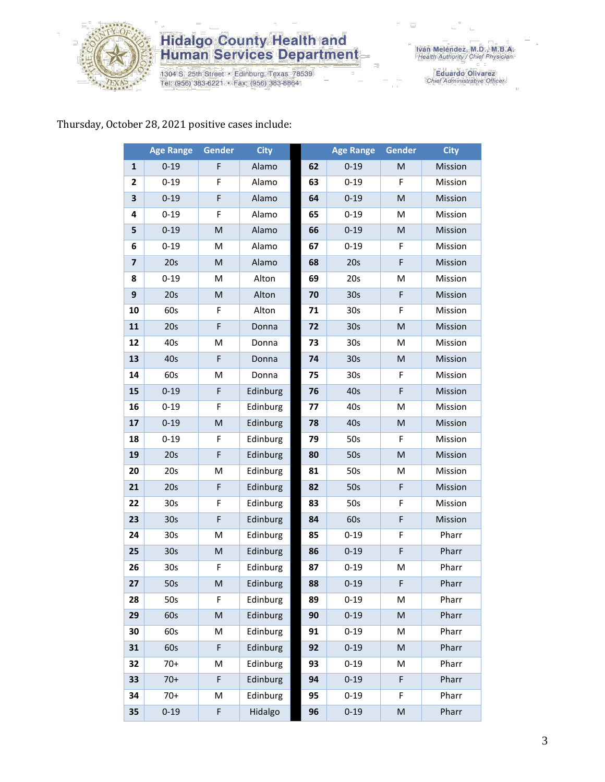

# **Hidalgo County Health and<br>Human Services Department**

1304 S. 25th Street • Edinburg, Texas 78539<br>Tel: (956) 383-6221 • Fax: (956) 383-8864

Iván Meléndez, M.D., M.B.A.<br>Health Authority / Chief Physician

Eduardo Olivarez<br>Chief Administrative Officer

## Thursday, October 28, 2021 positive cases include:

|                         | <b>Age Range</b> | <b>Gender</b> | <b>City</b> |    | <b>Age Range</b> | Gender                                                                                                     | <b>City</b> |
|-------------------------|------------------|---------------|-------------|----|------------------|------------------------------------------------------------------------------------------------------------|-------------|
| $\mathbf{1}$            | $0 - 19$         | F             | Alamo       | 62 | $0 - 19$         | M                                                                                                          | Mission     |
| $\mathbf{2}$            | $0 - 19$         | F             | Alamo       | 63 | $0 - 19$         | F                                                                                                          | Mission     |
| 3                       | $0 - 19$         | F             | Alamo       | 64 | $0 - 19$         | M                                                                                                          | Mission     |
| 4                       | $0 - 19$         | F             | Alamo       | 65 | $0 - 19$         | M                                                                                                          | Mission     |
| 5                       | $0 - 19$         | ${\sf M}$     | Alamo       | 66 | $0 - 19$         | ${\sf M}$                                                                                                  | Mission     |
| 6                       | $0 - 19$         | M             | Alamo       | 67 | $0 - 19$         | F                                                                                                          | Mission     |
| $\overline{\mathbf{z}}$ | 20s              | M             | Alamo       | 68 | 20s              | F                                                                                                          | Mission     |
| 8                       | $0 - 19$         | M             | Alton       | 69 | 20s              | M                                                                                                          | Mission     |
| 9                       | 20s              | M             | Alton       | 70 | 30 <sub>s</sub>  | F                                                                                                          | Mission     |
| 10                      | 60s              | F             | Alton       | 71 | 30 <sub>s</sub>  | F                                                                                                          | Mission     |
| 11                      | 20s              | F             | Donna       | 72 | 30 <sub>s</sub>  | ${\sf M}$                                                                                                  | Mission     |
| 12                      | 40s              | M             | Donna       | 73 | 30 <sub>s</sub>  | M                                                                                                          | Mission     |
| 13                      | 40s              | F             | Donna       | 74 | 30 <sub>s</sub>  | M                                                                                                          | Mission     |
| 14                      | 60s              | M             | Donna       | 75 | 30 <sub>s</sub>  | F                                                                                                          | Mission     |
| 15                      | $0 - 19$         | F             | Edinburg    | 76 | 40s              | F                                                                                                          | Mission     |
| 16                      | $0 - 19$         | F             | Edinburg    | 77 | 40s              | M                                                                                                          | Mission     |
| 17                      | $0 - 19$         | ${\sf M}$     | Edinburg    | 78 | 40s              | $\mathsf{M}% _{T}=\mathsf{M}_{T}\!\left( a,b\right) ,\ \mathsf{M}_{T}=\mathsf{M}_{T}\!\left( a,b\right) ,$ | Mission     |
| 18                      | $0 - 19$         | F             | Edinburg    | 79 | 50s              | F                                                                                                          | Mission     |
| 19                      | 20s              | F             | Edinburg    | 80 | 50s              | ${\sf M}$                                                                                                  | Mission     |
| 20                      | 20s              | M             | Edinburg    | 81 | 50s              | M                                                                                                          | Mission     |
| 21                      | 20s              | F             | Edinburg    | 82 | 50s              | $\mathsf F$                                                                                                | Mission     |
| 22                      | 30 <sub>s</sub>  | F             | Edinburg    | 83 | 50s              | F                                                                                                          | Mission     |
| 23                      | 30s              | F             | Edinburg    | 84 | 60s              | F                                                                                                          | Mission     |
| 24                      | 30 <sub>s</sub>  | M             | Edinburg    | 85 | $0 - 19$         | F                                                                                                          | Pharr       |
| 25                      | 30 <sub>s</sub>  | M             | Edinburg    | 86 | $0 - 19$         | F                                                                                                          | Pharr       |
| 26                      | 30 <sub>s</sub>  | F             | Edinburg    | 87 | $0 - 19$         | M                                                                                                          | Pharr       |
| 27                      | 50s              | M             | Edinburg    | 88 | $0 - 19$         | F                                                                                                          | Pharr       |
| 28                      | 50s              | F             | Edinburg    | 89 | $0 - 19$         | M                                                                                                          | Pharr       |
| 29                      | 60s              | ${\sf M}$     | Edinburg    | 90 | $0 - 19$         | ${\sf M}$                                                                                                  | Pharr       |
| 30                      | 60s              | M             | Edinburg    | 91 | $0 - 19$         | M                                                                                                          | Pharr       |
| 31                      | 60s              | F             | Edinburg    | 92 | $0 - 19$         | $\mathsf{M}% _{T}=\mathsf{M}_{T}\!\left( a,b\right) ,\ \mathsf{M}_{T}=\mathsf{M}_{T}\!\left( a,b\right) ,$ | Pharr       |
| 32                      | $70+$            | M             | Edinburg    | 93 | $0 - 19$         | M                                                                                                          | Pharr       |
| 33                      | $70+$            | F             | Edinburg    | 94 | $0 - 19$         | F                                                                                                          | Pharr       |
| 34                      | $70+$            | M             | Edinburg    | 95 | $0 - 19$         | F                                                                                                          | Pharr       |
| 35                      | $0 - 19$         | F             | Hidalgo     | 96 | $0 - 19$         | ${\sf M}$                                                                                                  | Pharr       |